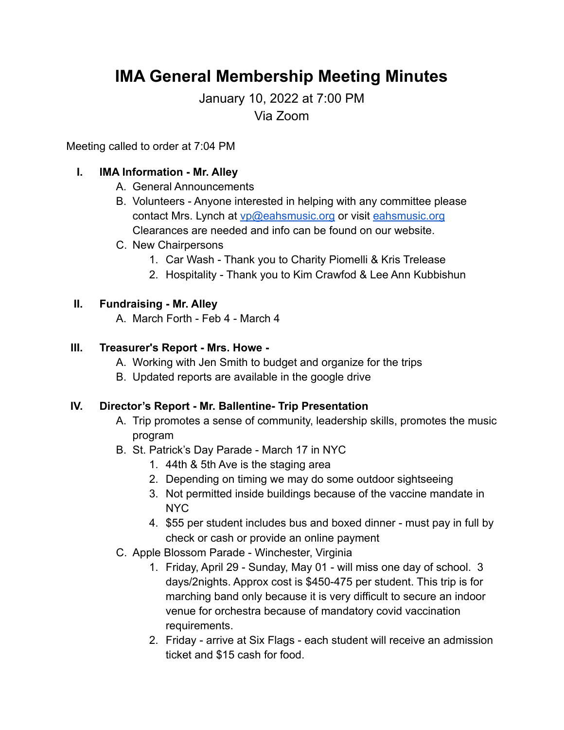# **IMA General Membership Meeting Minutes**

January 10, 2022 at 7:00 PM Via Zoom

Meeting called to order at 7:04 PM

## **I. IMA Information - Mr. Alley**

- A. General Announcements
- B. Volunteers Anyone interested in helping with any committee please contact Mrs. Lynch at [vp@eahsmusic.org](mailto:vp@eahsmusic.org) or visit [eahsmusic.org](https://eahsmusic.org) Clearances are needed and info can be found on our website.
- C. New Chairpersons
	- 1. Car Wash Thank you to Charity Piomelli & Kris Trelease
	- 2. Hospitality Thank you to Kim Crawfod & Lee Ann Kubbishun

### **II. Fundraising - Mr. Alley**

A. March Forth - Feb 4 - March 4

### **III. Treasurer's Report - Mrs. Howe -**

- A. Working with Jen Smith to budget and organize for the trips
- B. Updated reports are available in the google drive

#### **IV. Director's Report - Mr. Ballentine- Trip Presentation**

- A. Trip promotes a sense of community, leadership skills, promotes the music program
- B. St. Patrick's Day Parade March 17 in NYC
	- 1. 44th & 5th Ave is the staging area
	- 2. Depending on timing we may do some outdoor sightseeing
	- 3. Not permitted inside buildings because of the vaccine mandate in NYC
	- 4. \$55 per student includes bus and boxed dinner must pay in full by check or cash or provide an online payment
- C. Apple Blossom Parade Winchester, Virginia
	- 1. Friday, April 29 Sunday, May 01 will miss one day of school. 3 days/2nights. Approx cost is \$450-475 per student. This trip is for marching band only because it is very difficult to secure an indoor venue for orchestra because of mandatory covid vaccination requirements.
	- 2. Friday arrive at Six Flags each student will receive an admission ticket and \$15 cash for food.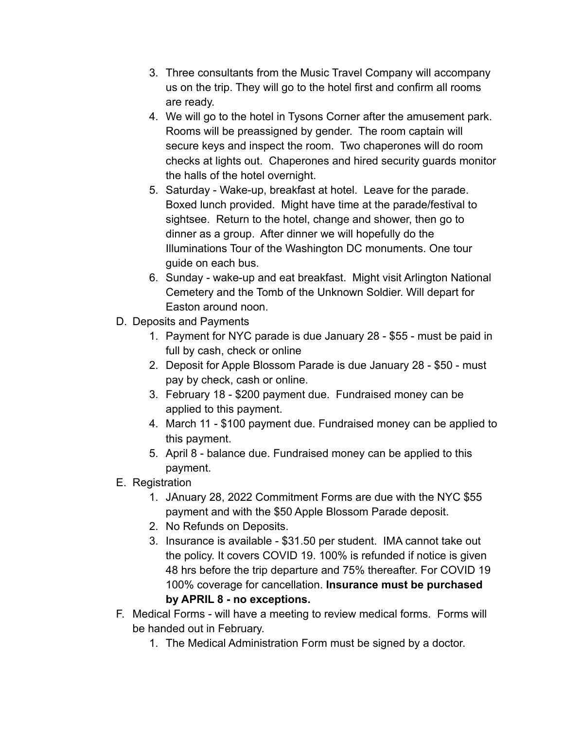- 3. Three consultants from the Music Travel Company will accompany us on the trip. They will go to the hotel first and confirm all rooms are ready.
- 4. We will go to the hotel in Tysons Corner after the amusement park. Rooms will be preassigned by gender. The room captain will secure keys and inspect the room. Two chaperones will do room checks at lights out. Chaperones and hired security guards monitor the halls of the hotel overnight.
- 5. Saturday Wake-up, breakfast at hotel. Leave for the parade. Boxed lunch provided. Might have time at the parade/festival to sightsee. Return to the hotel, change and shower, then go to dinner as a group. After dinner we will hopefully do the Illuminations Tour of the Washington DC monuments. One tour guide on each bus.
- 6. Sunday wake-up and eat breakfast. Might visit Arlington National Cemetery and the Tomb of the Unknown Soldier. Will depart for Easton around noon.
- D. Deposits and Payments
	- 1. Payment for NYC parade is due January 28 \$55 must be paid in full by cash, check or online
	- 2. Deposit for Apple Blossom Parade is due January 28 \$50 must pay by check, cash or online.
	- 3. February 18 \$200 payment due. Fundraised money can be applied to this payment.
	- 4. March 11 \$100 payment due. Fundraised money can be applied to this payment.
	- 5. April 8 balance due. Fundraised money can be applied to this payment.
- E. Registration
	- 1. JAnuary 28, 2022 Commitment Forms are due with the NYC \$55 payment and with the \$50 Apple Blossom Parade deposit.
	- 2. No Refunds on Deposits.
	- 3. Insurance is available \$31.50 per student. IMA cannot take out the policy. It covers COVID 19. 100% is refunded if notice is given 48 hrs before the trip departure and 75% thereafter. For COVID 19 100% coverage for cancellation. **Insurance must be purchased by APRIL 8 - no exceptions.**
- F. Medical Forms will have a meeting to review medical forms. Forms will be handed out in February.
	- 1. The Medical Administration Form must be signed by a doctor.